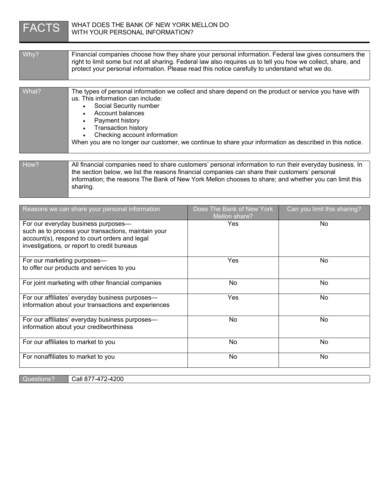

| $W$ hy? | Financial companies choose how they share your personal information. Federal law gives consumers the<br>right to limit some but not all sharing. Federal law also requires us to tell you how we collect, share, and<br>protect your personal information. Please read this notice carefully to understand what we do.                                                               |
|---------|--------------------------------------------------------------------------------------------------------------------------------------------------------------------------------------------------------------------------------------------------------------------------------------------------------------------------------------------------------------------------------------|
|         |                                                                                                                                                                                                                                                                                                                                                                                      |
| What?   | The types of personal information we collect and share depend on the product or service you have with<br>us. This information can include:<br>Social Security number<br>Account balances<br>Payment history<br><b>Transaction history</b><br>Checking account information<br>When you are no longer our customer, we continue to share your information as described in this notice. |
|         |                                                                                                                                                                                                                                                                                                                                                                                      |
| How?    | All financial companies need to share customers' personal information to run their everyday business. In<br>the section below, we list the reasons financial companies can share their customers' personal<br>information; the reasons The Bank of New York Mellon chooses to share; and whether you can limit this                                                                  |

| Reasons we can share your personal information                                                                                                                                             | Does The Bank of New York<br>Mellon share? | Can you limit this sharing? |
|--------------------------------------------------------------------------------------------------------------------------------------------------------------------------------------------|--------------------------------------------|-----------------------------|
| For our everyday business purposes—<br>such as to process your transactions, maintain your<br>account(s), respond to court orders and legal<br>investigations, or report to credit bureaus | Yes                                        | No.                         |
| For our marketing purposes-<br>to offer our products and services to you                                                                                                                   | Yes                                        | No.                         |
| For joint marketing with other financial companies                                                                                                                                         | No.                                        | No                          |
| For our affiliates' everyday business purposes-<br>information about your transactions and experiences                                                                                     | Yes                                        | No.                         |
| For our affiliates' everyday business purposes-<br>information about your creditworthiness                                                                                                 | No                                         | No                          |
| For our affiliates to market to you                                                                                                                                                        | No                                         | No                          |
| For nonaffiliates to market to you                                                                                                                                                         | No                                         | No                          |

Questions? | Call 877-472-4200

sharing.